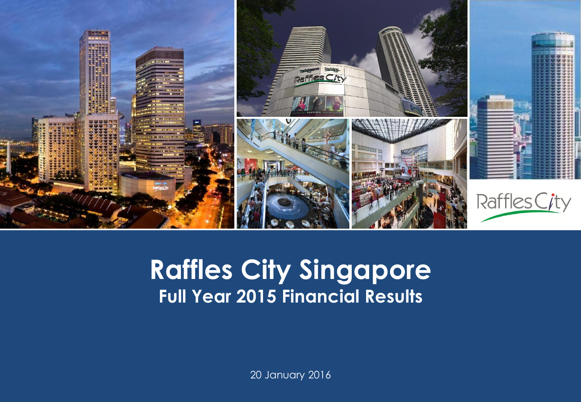

#### **Capital Raffles City Singapore Presentation Template Full Year 2015 Financial Results**

20 January 2016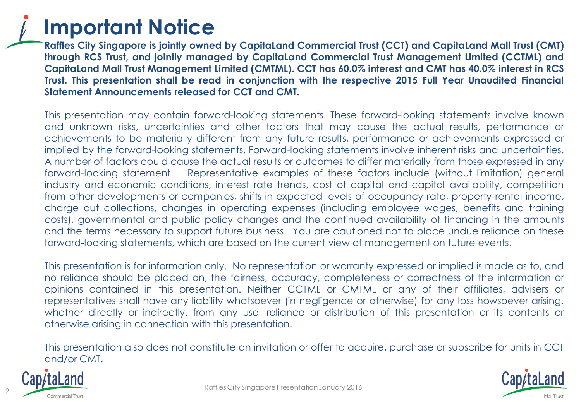

**Raffles City Singapore is jointly owned by CapitaLand Commercial Trust (CCT) and CapitaLand Mall Trust (CMT) through RCS Trust, and jointly managed by CapitaLand Commercial Trust Management Limited (CCTML) and** Capitaland Mall Trust Management Limited (CMTML). CCT has 60.0% interest and CMT has 40.0% interest in RCS **Trust. This presentation shall be read in conjunction with the respective 2015 Full Year Unaudited Financial Statement Announcements released for CCT and CMT.**

This presentation may contain forward-looking statements. These forward-looking statements involve known and unknown risks, uncertainties and other factors that may cause the actual results, performance or achievements to be materially different from any future results, performance or achievements expressed or implied by the forward-looking statements. Forward-looking statements involve inherent risks and uncertainties. A number of factors could cause the actual results or outcomes to differ materially from those expressed in any forward-looking statement. Representative examples of these factors include (without limitation) general industry and economic conditions, interest rate trends, cost of capital and capital availability, competition from other developments or companies, shifts in expected levels of occupancy rate, property rental income, charge out collections, changes in operating expenses (including employee wages, benefits and training costs), governmental and public policy changes and the continued availability of financing in the amounts and the terms necessary to support future business. You are cautioned not to place undue reliance on these forward-looking statements, which are based on the current view of management on future events.

This presentation is for information only. No representation or warranty expressed or implied is made as to, and no reliance should be placed on, the fairness, accuracy, completeness or correctness of the information or opinions contained in this presentation. Neither CCTML or CMTML or any of their affiliates, advisers or representatives shall have any liability whatsoever (in negligence or otherwise) for any loss howsoever arising, whether directly or indirectly, from any use, reliance or distribution of this presentation or its contents or otherwise arising in connection with this presentation.

This presentation also does not constitute an invitation or offer to acquire, purchase or subscribe for units in CCT and/or CMT.



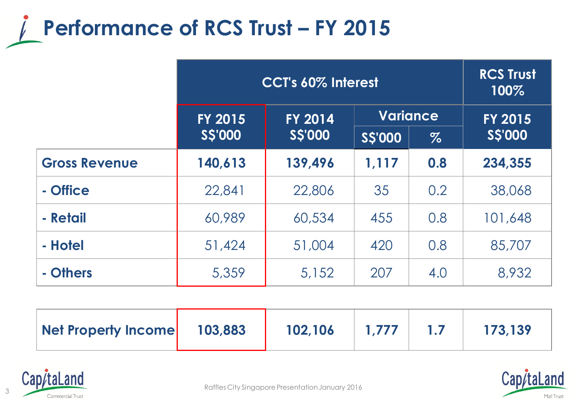

|                      | CCT's 60% Interest |                                  |               | <b>RCS Trust</b><br>100% |                 |                |
|----------------------|--------------------|----------------------------------|---------------|--------------------------|-----------------|----------------|
|                      | <b>FY 2015</b>     | <b>FY 2014</b><br><b>S\$'000</b> |               |                          | <b>Variance</b> | <b>FY 2015</b> |
|                      | <b>SS'000</b>      |                                  | <b>SS'000</b> | $\%$                     | <b>SS'000</b>   |                |
| <b>Gross Revenue</b> | 140,613            | 139,496                          | 1,117         | 0.8                      | 234,355         |                |
| - Office             | 22,841             | 22,806                           | 35            | 0.2                      | 38,068          |                |
| - Retail             | 60,989             | 60,534                           | 455           | 0.8                      | 101,648         |                |
| - Hotel              | 51,424             | 51,004                           | 420           | 0.8                      | 85,707          |                |
| - Others             | 5,359              | 5,152                            | 207           | 4.0                      | 8,932           |                |

| Net Property Income | 103,883 | 102,106 | 1.777 |  | 173,139 |
|---------------------|---------|---------|-------|--|---------|
|---------------------|---------|---------|-------|--|---------|





Raffles City Singapore Presentation January 2016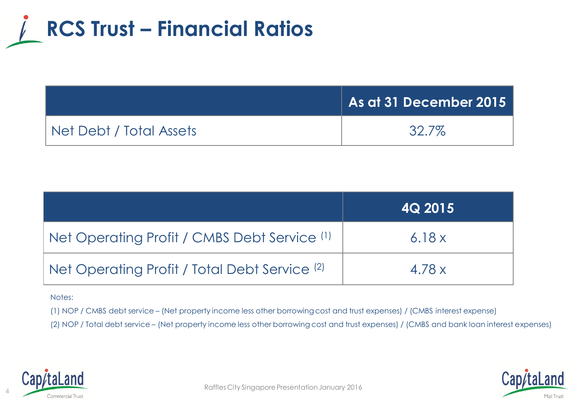

|                         | $\mid$ As at 31 December 2015 $\mid$ |
|-------------------------|--------------------------------------|
| Net Debt / Total Assets | 32.7%                                |

|                                               | <b>4Q 2015</b> |
|-----------------------------------------------|----------------|
| Net Operating Profit / CMBS Debt Service (1)  | 6.18x          |
| Net Operating Profit / Total Debt Service (2) | 4.78 x         |

#### Notes:

(1) NOP / CMBS debt service – (Net property income less other borrowing cost and trust expenses) / (CMBS interest expense)

(2) NOP / Total debt service – (Net property income less other borrowing cost and trust expenses) / (CMBS and bank loan interest expenses)



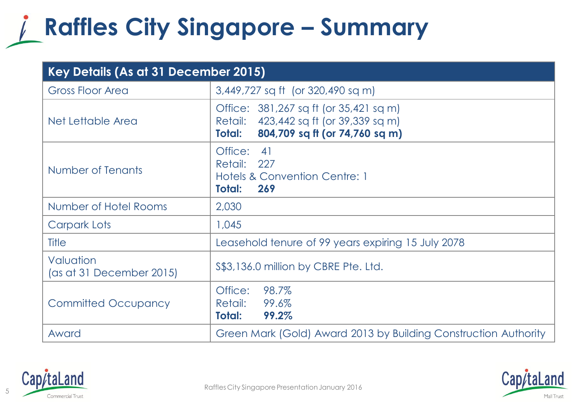#### **Raffles City Singapore – Summary**

| Key Details (As at 31 December 2015)  |                                                                                                                              |  |
|---------------------------------------|------------------------------------------------------------------------------------------------------------------------------|--|
| <b>Gross Floor Area</b>               | 3,449,727 sq ft (or 320,490 sq m)                                                                                            |  |
| Net Lettable Area                     | Office: 381,267 sq ft (or 35,421 sq m)<br>Retail: 423,442 sq ft (or 39,339 sq m)<br>804,709 sq ft (or 74,760 sq m)<br>Total: |  |
| Number of Tenants                     | Office: 41<br>Retail: 227<br>Hotels & Convention Centre: 1<br><b>Total:</b><br>269                                           |  |
| Number of Hotel Rooms                 | 2,030                                                                                                                        |  |
| Carpark Lots                          | 1,045                                                                                                                        |  |
| Title                                 | Leasehold tenure of 99 years expiring 15 July 2078                                                                           |  |
| Valuation<br>(as at 31 December 2015) | \$\$3,136.0 million by CBRE Pte. Ltd.                                                                                        |  |
| <b>Committed Occupancy</b>            | 98.7%<br>Office:<br>99.6%<br>Retail:<br>99.2%<br>Total:                                                                      |  |
| Award                                 | Green Mark (Gold) Award 2013 by Building Construction Authority                                                              |  |



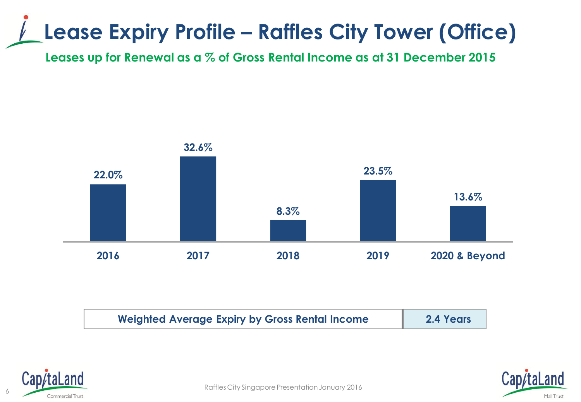#### **Lease Expiry Profile – Raffles City Tower (Office)**

**Leases up for Renewal as a % of Gross Rental Income as at 31 December 2015**



| <b>Weighted Average Expiry by Gross Rental Income</b> | 2.4 Years |
|-------------------------------------------------------|-----------|
|-------------------------------------------------------|-----------|





e and the commercial Trust<br>Commercial Trust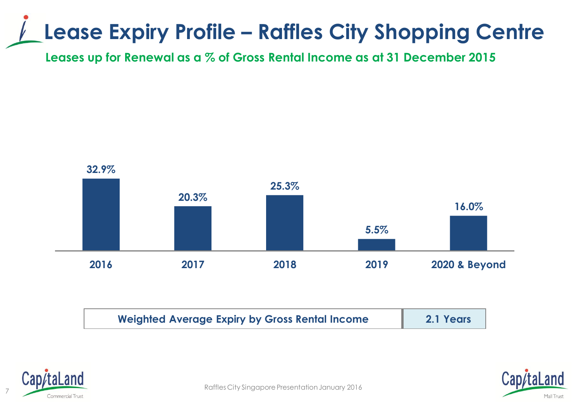#### **Lease Expiry Profile – Raffles City Shopping Centre**

**Leases up for Renewal as a % of Gross Rental Income as at 31 December 2015**



| <b>Weighted Average Expiry by Gross Rental Income</b> | 2.1 Years |
|-------------------------------------------------------|-----------|
|-------------------------------------------------------|-----------|





Raffles City Singapore Presentation January 2016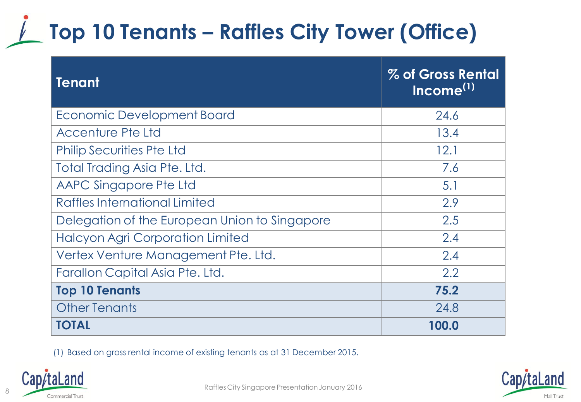### **Top 10 Tenants – Raffles City Tower (Office)**

| <b>Tenant</b>                                 | % of Gross Rental<br>Income <sup>(1)</sup> |
|-----------------------------------------------|--------------------------------------------|
| <b>Economic Development Board</b>             | 24.6                                       |
| <b>Accenture Pte Ltd</b>                      | 13.4                                       |
| <b>Philip Securities Pte Ltd</b>              | 12.1                                       |
| Total Trading Asia Pte. Ltd.                  | 7.6                                        |
| AAPC Singapore Pte Ltd                        | 5.1                                        |
| Raffles International Limited                 | 2.9                                        |
| Delegation of the European Union to Singapore | 2.5                                        |
| <b>Halcyon Agri Corporation Limited</b>       | 2.4                                        |
| Vertex Venture Management Pte. Ltd.           | 2.4                                        |
| Farallon Capital Asia Pte. Ltd.               | 2.2                                        |
| <b>Top 10 Tenants</b>                         | 75.2                                       |
| <b>Other Tenants</b>                          | 24.8                                       |
| <b>TOTAL</b>                                  | 100.0                                      |

(1) Based on gross rental income of existing tenants as at 31 December 2015.



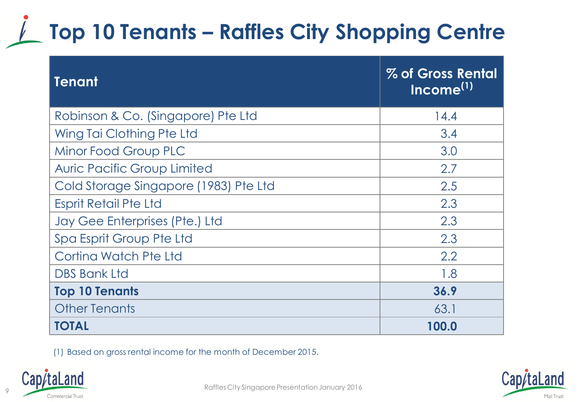## **Top 10 Tenants – Raffles City Shopping Centre**

| <b>Tenant</b>                         | % of Gross Rental<br>Income <sup>(1)</sup> |
|---------------------------------------|--------------------------------------------|
| Robinson & Co. (Singapore) Pte Ltd    | 14.4                                       |
| Wing Tai Clothing Pte Ltd             | 3.4                                        |
| Minor Food Group PLC                  | 3.0                                        |
| <b>Auric Pacific Group Limited</b>    | 2.7                                        |
| Cold Storage Singapore (1983) Pte Ltd | 2.5                                        |
| <b>Esprit Retail Pte Ltd</b>          | 2.3                                        |
| Jay Gee Enterprises (Pte.) Ltd        | 2.3                                        |
| Spa Esprit Group Pte Ltd              | 2.3                                        |
| Cortina Watch Pte Ltd                 | 2.2                                        |
| <b>DBS Bank Ltd</b>                   | 1.8                                        |
| <b>Top 10 Tenants</b>                 | 36.9                                       |
| <b>Other Tenants</b>                  | 63.1                                       |
| <b>TOTAL</b>                          | 100.0                                      |

(1) Based on gross rental income for the month of December 2015.



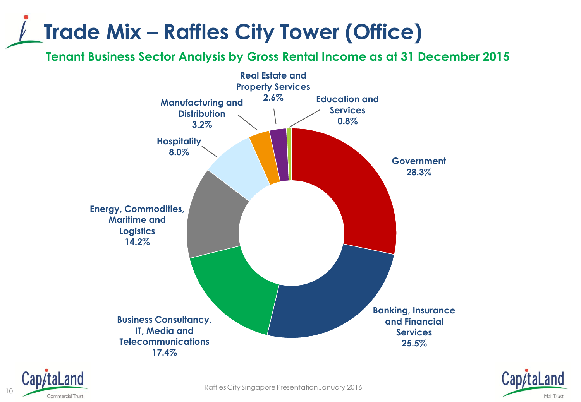#### **Trade Mix – Raffles City Tower (Office)**

**Tenant Business Sector Analysis by Gross Rental Income as at 31 December 2015**





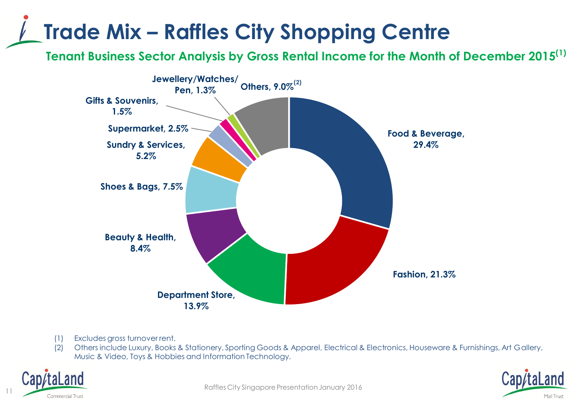#### **Trade Mix – Raffles City Shopping Centre**

**Tenant Business Sector Analysis by Gross Rental Income for the Month of December 2015(1)**



- (1) Excludes gross turnover rent.
- (2) Others include Luxury, Books & Stationery, Sporting Goods & Apparel, Electrical & Electronics, Houseware & Furnishings, Art Gallery, Music & Video, Toys & Hobbies and Information Technology.